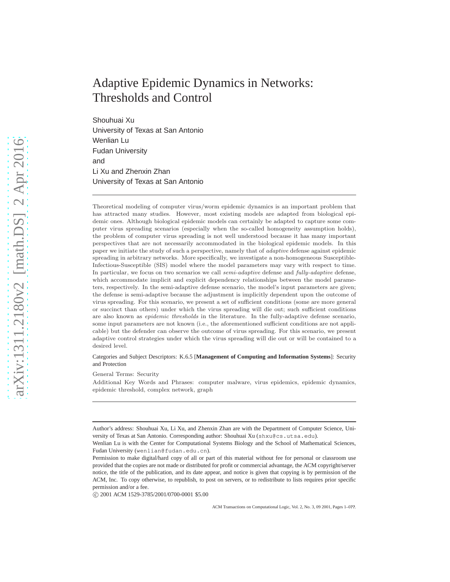# Adaptive Epidemic Dynamics in Networks: Thresholds and Control

Shouhuai Xu University of Texas at San Antonio Wenlian Lu Fudan University and Li Xu and Zhenxin Zhan University of Texas at San Antonio

Theoretical modeling of computer virus/worm epidemic dynamics is an important problem that has attracted many studies. However, most existing models are adapted from biological epidemic ones. Although biological epidemic models can certainly be adapted to capture some computer virus spreading scenarios (especially when the so-called homogeneity assumption holds), the problem of computer virus spreading is not well understood because it has many important perspectives that are not necessarily accommodated in the biological epidemic models. In this paper we initiate the study of such a perspective, namely that of *adaptive* defense against epidemic spreading in arbitrary networks. More specifically, we investigate a non-homogeneous Susceptible-Infectious-Susceptible (SIS) model where the model parameters may vary with respect to time. In particular, we focus on two scenarios we call *semi-adaptive* defense and *fully-adaptive* defense, which accommodate implicit and explicit dependency relationships between the model parameters, respectively. In the semi-adaptive defense scenario, the model's input parameters are given; the defense is semi-adaptive because the adjustment is implicitly dependent upon the outcome of virus spreading. For this scenario, we present a set of sufficient conditions (some are more general or succinct than others) under which the virus spreading will die out; such sufficient conditions are also known as epidemic thresholds in the literature. In the fully-adaptive defense scenario, some input parameters are not known (i.e., the aforementioned sufficient conditions are not applicable) but the defender can observe the outcome of virus spreading. For this scenario, we present adaptive control strategies under which the virus spreading will die out or will be contained to a desired level.

Categories and Subject Descriptors: K.6.5 [**Management of Computing and Information Systems**]: Security and Protection

General Terms: Security

Additional Key Words and Phrases: computer malware, virus epidemics, epidemic dynamics, epidemic threshold, complex network, graph

c 2001 ACM 1529-3785/2001/0700-0001 \$5.00

Author's address: Shouhuai Xu, Li Xu, and Zhenxin Zhan are with the Department of Computer Science, University of Texas at San Antonio. Corresponding author: Shouhuai Xu (shxu@cs.utsa.edu).

Wenlian Lu is with the Center for Computational Systems Biology and the School of Mathematical Sciences, Fudan University (wenlian@fudan.edu.cn).

Permission to make digital/hard copy of all or part of this material without fee for personal or classroom use provided that the copies are not made or distributed for profit or commercial advantage, the ACM copyright/server notice, the title of the publication, and its date appear, and notice is given that copying is by permission of the ACM, Inc. To copy otherwise, to republish, to post on servers, or to redistribute to lists requires prior specific permission and/or a fee.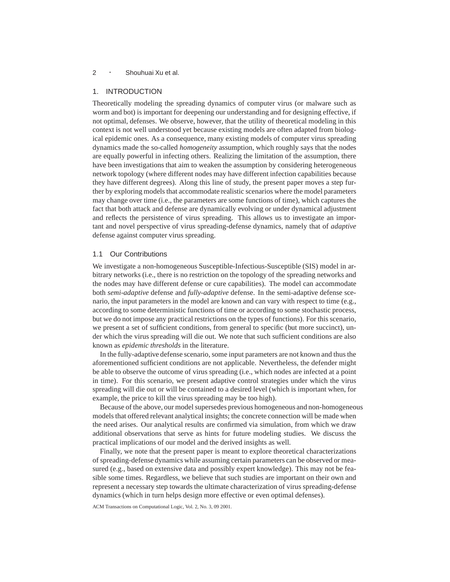## 1. INTRODUCTION

Theoretically modeling the spreading dynamics of computer virus (or malware such as worm and bot) is important for deepening our understanding and for designing effective, if not optimal, defenses. We observe, however, that the utility of theoretical modeling in this context is not well understood yet because existing models are often adapted from biological epidemic ones. As a consequence, many existing models of computer virus spreading dynamics made the so-called *homogeneity* assumption, which roughly says that the nodes are equally powerful in infecting others. Realizing the limitation of the assumption, there have been investigations that aim to weaken the assumption by considering heterogeneous network topology (where different nodes may have different infection capabilities because they have different degrees). Along this line of study, the present paper moves a step further by exploring models that accommodate realistic scenarios where the model parameters may change over time (i.e., the parameters are some functions of time), which captures the fact that both attack and defense are dynamically evolving or under dynamical adjustment and reflects the persistence of virus spreading. This allows us to investigate an important and novel perspective of virus spreading-defense dynamics, namely that of *adaptive* defense against computer virus spreading.

# 1.1 Our Contributions

We investigate a non-homogeneous Susceptible-Infectious-Susceptible (SIS) model in arbitrary networks (i.e., there is no restriction on the topology of the spreading networks and the nodes may have different defense or cure capabilities). The model can accommodate both *semi-adaptive* defense and *fully-adaptive* defense. In the semi-adaptive defense scenario, the input parameters in the model are known and can vary with respect to time (e.g., according to some deterministic functions of time or according to some stochastic process, but we do not impose any practical restrictions on the types of functions). For this scenario, we present a set of sufficient conditions, from general to specific (but more succinct), under which the virus spreading will die out. We note that such sufficient conditions are also known as *epidemic thresholds* in the literature.

In the fully-adaptive defense scenario, some input parameters are not known and thus the aforementioned sufficient conditions are not applicable. Nevertheless, the defender might be able to observe the outcome of virus spreading (i.e., which nodes are infected at a point in time). For this scenario, we present adaptive control strategies under which the virus spreading will die out or will be contained to a desired level (which is important when, for example, the price to kill the virus spreading may be too high).

Because of the above, our model supersedes previous homogeneous and non-homogeneous models that offered relevant analytical insights; the concrete connection will be made when the need arises. Our analytical results are confirmed via simulation, from which we draw additional observations that serve as hints for future modeling studies. We discuss the practical implications of our model and the derived insights as well.

Finally, we note that the present paper is meant to explore theoretical characterizations of spreading-defense dynamics while assuming certain parameters can be observed or measured (e.g., based on extensive data and possibly expert knowledge). This may not be feasible some times. Regardless, we believe that such studies are important on their own and represent a necessary step towards the ultimate characterization of virus spreading-defense dynamics (which in turn helps design more effective or even optimal defenses).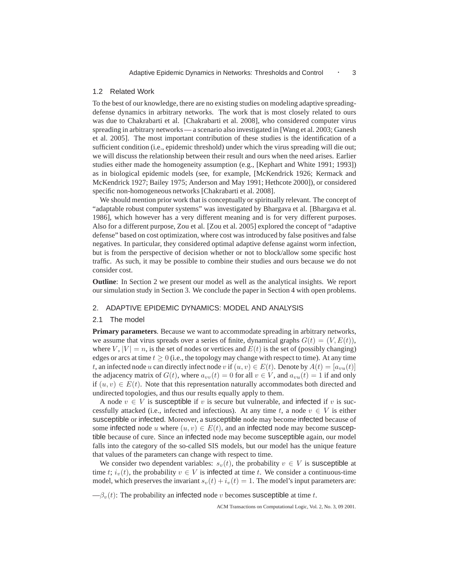## 1.2 Related Work

To the best of our knowledge, there are no existing studies on modeling adaptive spreadingdefense dynamics in arbitrary networks. The work that is most closely related to ours was due to Chakrabarti et al. [Chakrabarti et al. 2008], who considered computer virus spreading in arbitrary networks — a scenario also investigated in [Wang et al. 2003; Ganesh et al. 2005]. The most important contribution of these studies is the identification of a sufficient condition (i.e., epidemic threshold) under which the virus spreading will die out; we will discuss the relationship between their result and ours when the need arises. Earlier studies either made the homogeneity assumption (e.g., [Kephart and White 1991; 1993]) as in biological epidemic models (see, for example, [McKendrick 1926; Kermack and McKendrick 1927; Bailey 1975; Anderson and May 1991; Hethcote 2000]), or considered specific non-homogeneous networks [Chakrabarti et al. 2008].

We should mention prior work that is conceptually or spiritually relevant. The concept of "adaptable robust computer systems" was investigated by Bhargava et al. [Bhargava et al. 1986], which however has a very different meaning and is for very different purposes. Also for a different purpose, Zou et al. [Zou et al. 2005] explored the concept of "adaptive defense" based on cost optimization, where cost was introduced by false positives and false negatives. In particular, they considered optimal adaptive defense against worm infection, but is from the perspective of decision whether or not to block/allow some specific host traffic. As such, it may be possible to combine their studies and ours because we do not consider cost.

**Outline**: In Section 2 we present our model as well as the analytical insights. We report our simulation study in Section 3. We conclude the paper in Section 4 with open problems.

# 2. ADAPTIVE EPIDEMIC DYNAMICS: MODEL AND ANALYSIS

## 2.1 The model

**Primary parameters**. Because we want to accommodate spreading in arbitrary networks, we assume that virus spreads over a series of finite, dynamical graphs  $G(t) = (V, E(t))$ , where  $V, |V| = n$ , is the set of nodes or vertices and  $E(t)$  is the set of (possibly changing) edges or arcs at time  $t \ge 0$  (i.e., the topology may change with respect to time). At any time t, an infected node u can directly infect node v if  $(u, v) \in E(t)$ . Denote by  $A(t) = [a_{vu}(t)]$ the adjacency matrix of  $G(t)$ , where  $a_{vv}(t) = 0$  for all  $v \in V$ , and  $a_{vu}(t) = 1$  if and only if  $(u, v) \in E(t)$ . Note that this representation naturally accommodates both directed and undirected topologies, and thus our results equally apply to them.

A node  $v \in V$  is susceptible if v is secure but vulnerable, and infected if v is successfully attacked (i.e., infected and infectious). At any time t, a node  $v \in V$  is either susceptible or infected. Moreover, a susceptible node may become infected because of some infected node u where  $(u, v) \in E(t)$ , and an infected node may become susceptible because of cure. Since an infected node may become susceptible again, our model falls into the category of the so-called SIS models, but our model has the unique feature that values of the parameters can change with respect to time.

We consider two dependent variables:  $s_v(t)$ , the probability  $v \in V$  is susceptible at time t;  $i_v(t)$ , the probability  $v \in V$  is infected at time t. We consider a continuous-time model, which preserves the invariant  $s_v(t) + i_v(t) = 1$ . The model's input parameters are:

 $-\beta_v(t)$ : The probability an infected node v becomes susceptible at time t.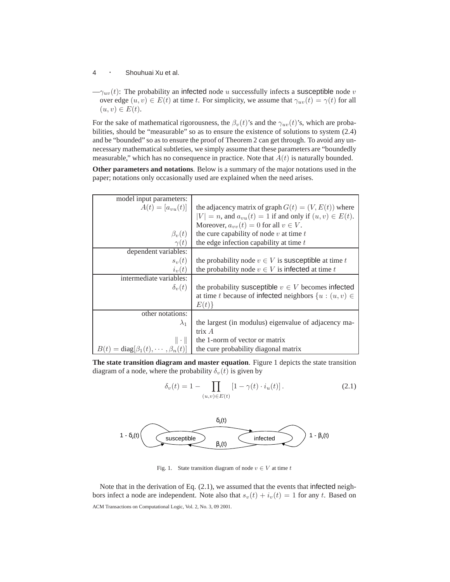- <sup>4</sup> · Shouhuai Xu et al.
- $-\gamma_{uv}(t)$ : The probability an infected node u successfully infects a susceptible node v over edge  $(u, v) \in E(t)$  at time t. For simplicity, we assume that  $\gamma_{uv}(t) = \gamma(t)$  for all  $(u, v) \in E(t)$ .

For the sake of mathematical rigorousness, the  $\beta_v(t)$ 's and the  $\gamma_{uv}(t)$ 's, which are probabilities, should be "measurable" so as to ensure the existence of solutions to system (2.4) and be "bounded" so as to ensure the proof of Theorem 2 can get through. To avoid any unnecessary mathematical subtleties, we simply assume that these parameters are "boundedly measurable," which has no consequence in practice. Note that  $A(t)$  is naturally bounded.

**Other parameters and notations**. Below is a summary of the major notations used in the paper; notations only occasionally used are explained when the need arises.

| model input parameters:                              |                                                                    |
|------------------------------------------------------|--------------------------------------------------------------------|
| $A(t) = [a_{vu}(t)]$                                 | the adjacency matrix of graph $G(t) = (V, E(t))$ where             |
|                                                      | $ V  = n$ , and $a_{vu}(t) = 1$ if and only if $(u, v) \in E(t)$ . |
|                                                      | Moreover, $a_{vv}(t) = 0$ for all $v \in V$ .                      |
| $\beta_v(t)$                                         | the cure capability of node $v$ at time $t$                        |
| $\gamma(t)$                                          | the edge infection capability at time $t$                          |
| dependent variables:                                 |                                                                    |
| $s_v(t)$                                             | the probability node $v \in V$ is susceptible at time t            |
| $i_v(t)$                                             | the probability node $v \in V$ is infected at time t               |
| intermediate variables:                              |                                                                    |
| $\delta_v(t)$                                        | the probability susceptible $v \in V$ becomes infected             |
|                                                      | at time t because of infected neighbors $\{u : (u, v) \in$         |
|                                                      | $E(t)\}$                                                           |
| other notations:                                     |                                                                    |
| $\lambda_1$                                          | the largest (in modulus) eigenvalue of adjacency ma-               |
|                                                      | trix $A$                                                           |
| $\ \cdot\ $                                          | the 1-norm of vector or matrix                                     |
| $B(t) = \text{diag}[\beta_1(t), \cdots, \beta_n(t)]$ | the cure probability diagonal matrix                               |

**The state transition diagram and master equation**. Figure 1 depicts the state transition diagram of a node, where the probability  $\delta_v(t)$  is given by

$$
\delta_v(t) = 1 - \prod_{(u,v) \in E(t)} [1 - \gamma(t) \cdot i_u(t)].
$$
\n(2.1)



Fig. 1. State transition diagram of node  $v \in V$  at time t

Note that in the derivation of Eq. (2.1), we assumed that the events that infected neighbors infect a node are independent. Note also that  $s_v(t) + i_v(t) = 1$  for any t. Based on ACM Transactions on Computational Logic, Vol. 2, No. 3, 09 2001.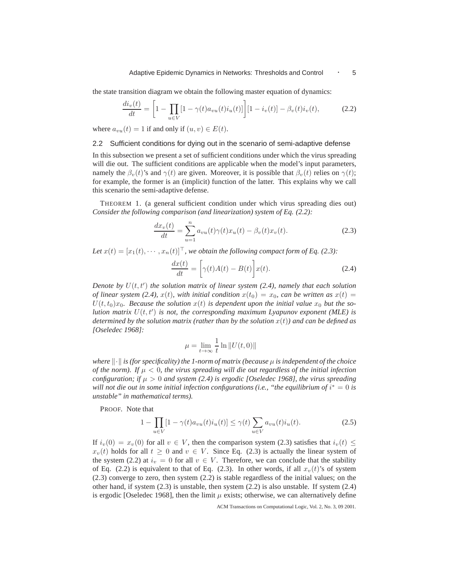the state transition diagram we obtain the following master equation of dynamics:

$$
\frac{di_v(t)}{dt} = \left[1 - \prod_{u \in V} [1 - \gamma(t) a_{vu}(t) i_u(t)]\right] [1 - i_v(t)] - \beta_v(t) i_v(t),\tag{2.2}
$$

where  $a_{vu}(t) = 1$  if and only if  $(u, v) \in E(t)$ .

## 2.2 Sufficient conditions for dying out in the scenario of semi-adaptive defense

In this subsection we present a set of sufficient conditions under which the virus spreading will die out. The sufficient conditions are applicable when the model's input parameters, namely the  $\beta_n(t)$ 's and  $\gamma(t)$  are given. Moreover, it is possible that  $\beta_n(t)$  relies on  $\gamma(t)$ ; for example, the former is an (implicit) function of the latter. This explains why we call this scenario the semi-adaptive defense.

THEOREM 1. (a general sufficient condition under which virus spreading dies out) *Consider the following comparison (and linearization) system of Eq. (2.2):*

$$
\frac{dx_v(t)}{dt} = \sum_{u=1}^n a_{vu}(t)\gamma(t)x_u(t) - \beta_v(t)x_v(t).
$$
\n(2.3)

Let  $x(t) = [x_1(t), \cdots, x_n(t)]^\top$ , we obtain the following compact form of Eq. (2.3):

$$
\frac{dx(t)}{dt} = \left[\gamma(t)A(t) - B(t)\right]x(t). \tag{2.4}
$$

Denote by  $U(t, t')$  the solution matrix of linear system  $(2.4)$ , namely that each solution *of linear system (2.4),*  $x(t)$ *, with initial condition*  $x(t_0) = x_0$ *, can be written as*  $x(t) =$  $U(t, t_0)x_0$ . Because the solution  $x(t)$  is dependent upon the initial value  $x_0$  but the so*lution matrix* U(t, t′ ) *is not, the corresponding maximum Lyapunov exponent (MLE) is determined by the solution matrix (rather than by the solution*  $x(t)$ ) and can be defined as *[Oseledec 1968]:*

$$
\mu = \lim_{t \to \infty} \frac{1}{t} \ln \|U(t, 0)\|
$$

*where*  $\|\cdot\|$  *is (for specificality) the 1-norm of matrix (because*  $\mu$  *is independent of the choice of the norm). If*  $\mu < 0$ *, the virus spreading will die out regardless of the initial infection configuration; if*  $\mu > 0$  *and system* (2.4) *is ergodic [Oseledec 1968], the virus spreading will not die out in some initial infection configurations (i.e., "the equilibrium of*  $i^* = 0$  *is unstable" in mathematical terms).*

PROOF. Note that

$$
1 - \prod_{u \in V} [1 - \gamma(t) a_{vu}(t) i_u(t)] \le \gamma(t) \sum_{u \in V} a_{vu}(t) i_u(t).
$$
 (2.5)

If  $i_v(0) = x_v(0)$  for all  $v \in V$ , then the comparison system (2.3) satisfies that  $i_v(t) \leq$  $x_v(t)$  holds for all  $t \geq 0$  and  $v \in V$ . Since Eq. (2.3) is actually the linear system of the system (2.2) at  $i_v = 0$  for all  $v \in V$ . Therefore, we can conclude that the stability of Eq. (2.2) is equivalent to that of Eq. (2.3). In other words, if all  $x_v(t)$ 's of system (2.3) converge to zero, then system (2.2) is stable regardless of the initial values; on the other hand, if system  $(2.3)$  is unstable, then system  $(2.2)$  is also unstable. If system  $(2.4)$ is ergodic [Oseledec 1968], then the limit  $\mu$  exists; otherwise, we can alternatively define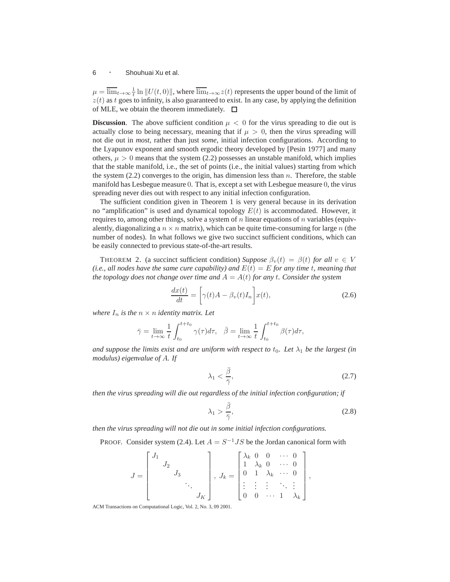$\mu = \overline{\lim}_{t \to \infty} \frac{1}{t} \ln \|U(t,0)\|$ , where  $\overline{\lim}_{t \to \infty} z(t)$  represents the upper bound of the limit of  $z(t)$  as t goes to infinity, is also guaranteed to exist. In any case, by applying the definition of MLE, we obtain the theorem immediately.  $\Box$ 

**Discussion**. The above sufficient condition  $\mu < 0$  for the virus spreading to die out is actually close to being necessary, meaning that if  $\mu > 0$ , then the virus spreading will not die out in *most*, rather than just *some*, initial infection configurations. According to the Lyapunov exponent and smooth ergodic theory developed by [Pesin 1977] and many others,  $\mu > 0$  means that the system (2.2) possesses an unstable manifold, which implies that the stable manifold, i.e., the set of points (i.e., the initial values) starting from which the system  $(2.2)$  converges to the origin, has dimension less than n. Therefore, the stable manifold has Lesbegue measure 0. That is, except a set with Lesbegue measure 0, the virus spreading never dies out with respect to any initial infection configuration.

The sufficient condition given in Theorem 1 is very general because in its derivation no "amplification" is used and dynamical topology  $E(t)$  is accommodated. However, it requires to, among other things, solve a system of n linear equations of n variables (equivalently, diagonalizing a  $n \times n$  matrix), which can be quite time-consuming for large n (the number of nodes). In what follows we give two succinct sufficient conditions, which can be easily connected to previous state-of-the-art results.

THEOREM 2. (a succinct sufficient condition) *Suppose*  $\beta_v(t) = \beta(t)$  *for all*  $v \in V$ *(i.e., all nodes have the same cure capability) and*  $E(t) = E$  *for any time t, meaning that the topology does not change over time and*  $A = A(t)$  *for any t. Consider the system* 

$$
\frac{dx(t)}{dt} = \left[\gamma(t)A - \beta_v(t)I_n\right]x(t),\tag{2.6}
$$

*where*  $I_n$  *is the*  $n \times n$  *identity matrix. Let* 

$$
\bar{\gamma} = \lim_{t \to \infty} \frac{1}{t} \int_{t_0}^{t+t_0} \gamma(\tau) d\tau, \quad \bar{\beta} = \lim_{t \to \infty} \frac{1}{t} \int_{t_0}^{t+t_0} \beta(\tau) d\tau,
$$

*and suppose the limits exist and are uniform with respect to*  $t_0$ *. Let*  $\lambda_1$  *be the largest (in modulus) eigenvalue of* A*. If*

$$
\lambda_1 < \frac{\bar{\beta}}{\bar{\gamma}},\tag{2.7}
$$

*then the virus spreading will die out regardless of the initial infection configuration; if*

$$
\lambda_1 > \frac{\bar{\beta}}{\bar{\gamma}},\tag{2.8}
$$

*then the virus spreading will not die out in some initial infection configurations.*

PROOF. Consider system (2.4). Let  $A = S^{-1}JS$  be the Jordan canonical form with

$$
J = \begin{bmatrix} J_1 & & & \\ & J_2 & & & \\ & & J_3 & & \\ & & & \ddots & \\ & & & & J_K \end{bmatrix}, J_k = \begin{bmatrix} \lambda_k & 0 & 0 & \cdots & 0 \\ 1 & \lambda_k & 0 & \cdots & 0 \\ 0 & 1 & \lambda_k & \cdots & 0 \\ \vdots & \vdots & \vdots & \ddots & \vdots \\ 0 & 0 & \cdots & 1 & \lambda_k \end{bmatrix},
$$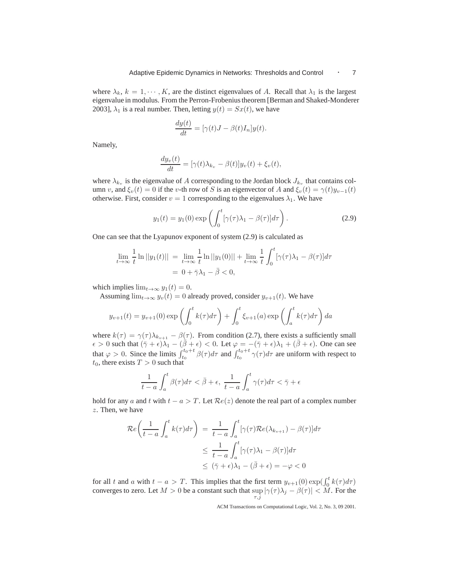where  $\lambda_k$ ,  $k = 1, \dots, K$ , are the distinct eigenvalues of A. Recall that  $\lambda_1$  is the largest eigenvalue in modulus. From the Perron-Frobenius theorem [Berman and Shaked-Monderer 2003],  $\lambda_1$  is a real number. Then, letting  $y(t) = Sx(t)$ , we have

$$
\frac{dy(t)}{dt} = [\gamma(t)J - \beta(t)I_n]y(t).
$$

Namely,

$$
\frac{dy_v(t)}{dt} = [\gamma(t)\lambda_{k_v} - \beta(t)]y_v(t) + \xi_v(t),
$$

where  $\lambda_{k_v}$  is the eigenvalue of A corresponding to the Jordan block  $J_{k_v}$  that contains column v, and  $\xi_v(t) = 0$  if the v-th row of S is an eigenvector of A and  $\xi_v(t) = \gamma(t)y_{v-1}(t)$ otherwise. First, consider  $v = 1$  corresponding to the eigenvalues  $\lambda_1$ . We have

$$
y_1(t) = y_1(0) \exp\left(\int_0^t [\gamma(\tau)\lambda_1 - \beta(\tau)]d\tau\right).
$$
 (2.9)

One can see that the Lyapunov exponent of system (2.9) is calculated as

$$
\lim_{t \to \infty} \frac{1}{t} \ln ||y_1(t)|| = \lim_{t \to \infty} \frac{1}{t} \ln ||y_1(0)|| + \lim_{t \to \infty} \frac{1}{t} \int_0^t [\gamma(\tau) \lambda_1 - \beta(\tau)] d\tau
$$
  
= 0 + \bar{\gamma} \lambda\_1 - \bar{\beta} < 0,

which implies  $\lim_{t\to\infty} y_1(t) = 0$ .

Assuming  $\lim_{t\to\infty} y_v(t) = 0$  already proved, consider  $y_{v+1}(t)$ . We have

$$
y_{v+1}(t) = y_{v+1}(0) \exp\left(\int_0^t k(\tau)d\tau\right) + \int_0^t \xi_{v+1}(a) \exp\left(\int_a^t k(\tau)d\tau\right) da
$$

where  $k(\tau) = \gamma(\tau)\lambda_{k_{\nu+1}} - \beta(\tau)$ . From condition (2.7), there exists a sufficiently small  $\epsilon > 0$  such that  $(\bar{\gamma} + \epsilon)\lambda_1 - (\bar{\beta} + \epsilon) < 0$ . Let  $\varphi = -(\bar{\gamma} + \epsilon)\lambda_1 + (\bar{\beta} + \epsilon)$ . One can see that  $\varphi > 0$ . Since the limits  $\int_{t_0}^{t_0+t} \beta(\tau) d\tau$  and  $\int_{t_0}^{t_0+t} \gamma(\tau) d\tau$  are uniform with respect to  $t_0$ , there exists  $T > 0$  such that

$$
\frac{1}{t-a} \int_{a}^{t} \beta(\tau) d\tau < \bar{\beta} + \epsilon, \ \frac{1}{t-a} \int_{a}^{t} \gamma(\tau) d\tau < \bar{\gamma} + \epsilon
$$

hold for any a and t with  $t - a > T$ . Let  $\mathcal{R}e(z)$  denote the real part of a complex number z. Then, we have

$$
\mathcal{R}e\left(\frac{1}{t-a}\int_a^t k(\tau)d\tau\right) = \frac{1}{t-a}\int_a^t [\gamma(\tau)\mathcal{R}e(\lambda_{k_{\nu+1}}) - \beta(\tau)]d\tau
$$
  

$$
\leq \frac{1}{t-a}\int_a^t [\gamma(\tau)\lambda_1 - \beta(\tau)]d\tau
$$
  

$$
\leq (\bar{\gamma} + \epsilon)\lambda_1 - (\bar{\beta} + \epsilon) = -\varphi < 0
$$

for all t and a with  $t - a > T$ . This implies that the first term  $y_{v+1}(0) \exp(\int_0^t k(\tau) d\tau)$ converges to zero. Let  $M > 0$  be a constant such that  $\sup_{\tau, j} |\gamma(\tau)\lambda_j - \beta(\tau)| < M$ . For the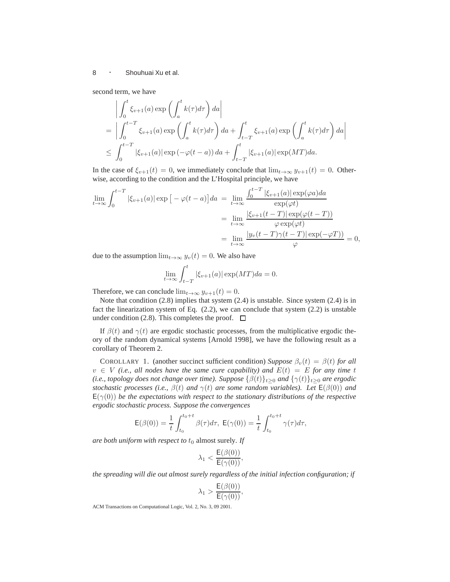second term, we have

$$
\left| \int_0^t \xi_{v+1}(a) \exp\left(\int_a^t k(\tau) d\tau\right) da \right|
$$
  
= 
$$
\left| \int_0^{t-T} \xi_{v+1}(a) \exp\left(\int_a^t k(\tau) d\tau\right) da + \int_{t-T}^t \xi_{v+1}(a) \exp\left(\int_a^t k(\tau) d\tau\right) da \right|
$$
  

$$
\leq \int_0^{t-T} |\xi_{v+1}(a)| \exp(-\varphi(t-a)) da + \int_{t-T}^t |\xi_{v+1}(a)| \exp(MT) da.
$$

In the case of  $\xi_{v+1}(t) = 0$ , we immediately conclude that  $\lim_{t\to\infty} y_{v+1}(t) = 0$ . Otherwise, according to the condition and the L'Hospital principle, we have

$$
\lim_{t \to \infty} \int_0^{t-T} |\xi_{v+1}(a)| \exp \left[ -\varphi(t-a) \right] da = \lim_{t \to \infty} \frac{\int_0^{t-T} |\xi_{v+1}(a)| \exp(\varphi a) da}{\exp(\varphi t)}
$$
\n
$$
= \lim_{t \to \infty} \frac{|\xi_{v+1}(t-T)| \exp(\varphi(t-T))}{\varphi \exp(\varphi t)}
$$
\n
$$
= \lim_{t \to \infty} \frac{|y_v(t-T)\gamma(t-T)| \exp(-\varphi T)|}{\varphi} = 0,
$$

due to the assumption  $\lim_{t\to\infty} y_v(t) = 0$ . We also have

$$
\lim_{t \to \infty} \int_{t-T}^{t} |\xi_{v+1}(a)| \exp(MT) da = 0.
$$

Therefore, we can conclude  $\lim_{t\to\infty} y_{v+1}(t) = 0$ .

Note that condition  $(2.8)$  implies that system  $(2.4)$  is unstable. Since system  $(2.4)$  is in fact the linearization system of Eq. (2.2), we can conclude that system (2.2) is unstable under condition (2.8). This completes the proof.  $\Box$ 

If  $\beta(t)$  and  $\gamma(t)$  are ergodic stochastic processes, from the multiplicative ergodic theory of the random dynamical systems [Arnold 1998], we have the following result as a corollary of Theorem 2.

COROLLARY 1. (another succinct sufficient condition) *Suppose*  $\beta_v(t) = \beta(t)$  *for all*  $v \in V$  *(i.e., all nodes have the same cure capability) and*  $E(t) = E$  *for any time t (i.e., topology does not change over time). Suppose*  $\{\beta(t)\}_{t>0}$  *and*  $\{\gamma(t)\}_{t>0}$  *are ergodic stochastic processes (i.e.,*  $\beta(t)$  *and*  $\gamma(t)$  *are some random variables). Let*  $E(\beta(0))$  *and*  $E(\gamma(0))$  be the expectations with respect to the stationary distributions of the respective *ergodic stochastic process. Suppose the convergences*

$$
\mathsf{E}(\beta(0)) = \frac{1}{t} \int_{t_0}^{t_0 + t} \beta(\tau) d\tau, \ \mathsf{E}(\gamma(0)) = \frac{1}{t} \int_{t_0}^{t_0 + t} \gamma(\tau) d\tau,
$$

*are both uniform with respect to*  $t_0$  almost surely. If

$$
\lambda_1 < \frac{\mathsf{E}(\beta(0))}{\mathsf{E}(\gamma(0))},
$$

*the spreading will die out almost surely regardless of the initial infection configuration; if*

$$
\lambda_1 > \frac{\mathsf{E}(\beta(0))}{\mathsf{E}(\gamma(0))},
$$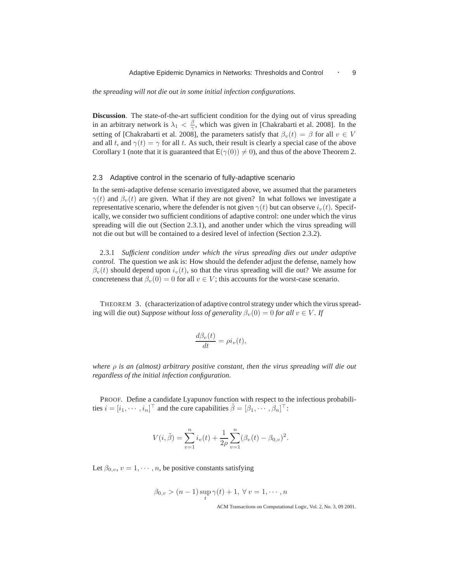*the spreading will not die out in some initial infection configurations.*

**Discussion**. The state-of-the-art sufficient condition for the dying out of virus spreading in an arbitrary network is  $\lambda_1 < \frac{\beta}{\gamma}$ , which was given in [Chakrabarti et al. 2008]. In the setting of [Chakrabarti et al. 2008], the parameters satisfy that  $\beta_v(t) = \beta$  for all  $v \in V$ and all t, and  $\gamma(t) = \gamma$  for all t. As such, their result is clearly a special case of the above Corollary 1 (note that it is guaranteed that  $E(\gamma(0)) \neq 0$ ), and thus of the above Theorem 2.

# 2.3 Adaptive control in the scenario of fully-adaptive scenario

In the semi-adaptive defense scenario investigated above, we assumed that the parameters  $\gamma(t)$  and  $\beta_v(t)$  are given. What if they are not given? In what follows we investigate a representative scenario, where the defender is not given  $\gamma(t)$  but can observe  $i<sub>v</sub>(t)$ . Specifically, we consider two sufficient conditions of adaptive control: one under which the virus spreading will die out (Section 2.3.1), and another under which the virus spreading will not die out but will be contained to a desired level of infection (Section 2.3.2).

2.3.1 *Sufficient condition under which the virus spreading dies out under adaptive control.* The question we ask is: How should the defender adjust the defense, namely how  $\beta_v(t)$  should depend upon  $i_v(t)$ , so that the virus spreading will die out? We assume for concreteness that  $\beta_v(0) = 0$  for all  $v \in V$ ; this accounts for the worst-case scenario.

THEOREM 3. (characterization of adaptive control strategy under which the virus spreading will die out) *Suppose without loss of generality*  $\beta_v(0) = 0$  *for all*  $v \in V$ *. If* 

$$
\frac{d\beta_v(t)}{dt} = \rho i_v(t),
$$

*where* ρ *is an (almost) arbitrary positive constant, then the virus spreading will die out regardless of the initial infection configuration.*

PROOF. Define a candidate Lyapunov function with respect to the infectious probabilities  $i = [i_1, \dots, i_n]^\top$  and the cure capabilities  $\tilde{\beta} = [\beta_1, \dots, \beta_n]^\top$ :

$$
V(i, \tilde{\beta}) = \sum_{v=1}^{n} i_v(t) + \frac{1}{2\rho} \sum_{v=1}^{n} (\beta_v(t) - \beta_{0,v})^2.
$$

Let  $\beta_{0,v}$ ,  $v = 1, \dots, n$ , be positive constants satisfying

$$
\beta_{0,v} > (n-1)\sup_t \gamma(t) + 1, \ \forall \ v = 1, \cdots, n
$$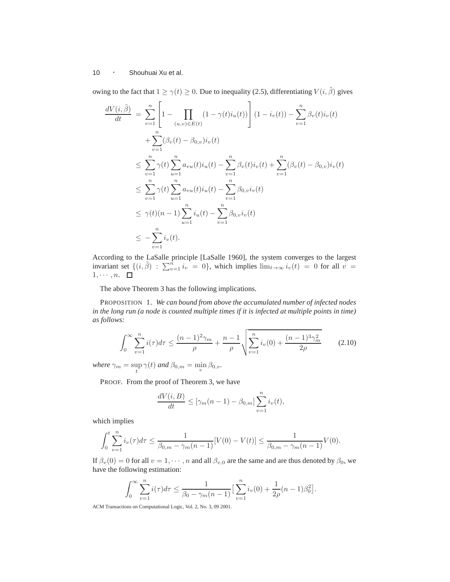owing to the fact that  $1 \ge \gamma(t) \ge 0$ . Due to inequality (2.5), differentiating  $V(i, \tilde{\beta})$  gives

$$
\frac{dV(i,\tilde{\beta})}{dt} = \sum_{v=1}^{n} \left[ 1 - \prod_{(u,v)\in E(t)} (1 - \gamma(t)i_u(t)) \right] (1 - i_v(t)) - \sum_{v=1}^{n} \beta_v(t)i_v(t) \n+ \sum_{v=1}^{n} (\beta_v(t) - \beta_{0,v})i_v(t) \n\leq \sum_{v=1}^{n} \gamma(t) \sum_{u=1}^{n} a_{vu}(t)i_u(t) - \sum_{v=1}^{n} \beta_v(t)i_v(t) + \sum_{v=1}^{n} (\beta_v(t) - \beta_{0,v})i_v(t) \n\leq \sum_{v=1}^{n} \gamma(t) \sum_{u=1}^{n} a_{vu}(t)i_u(t) - \sum_{v=1}^{n} \beta_{0,v}i_v(t) \n\leq \gamma(t)(n-1) \sum_{u=1}^{n} i_u(t) - \sum_{v=1}^{n} \beta_{0,v}i_v(t) \n\leq - \sum_{v=1}^{n} i_v(t).
$$

According to the LaSalle principle [LaSalle 1960], the system converges to the largest invariant set  $\{(i, \tilde{\beta}) : \sum_{v=1}^{\tilde{n}} i_v = 0\}$ , which implies  $\lim_{t\to\infty} i_v(t) = 0$  for all  $v =$  $1, \cdots, n. \quad \Box$ 

The above Theorem 3 has the following implications.

PROPOSITION 1. *We can bound from above the accumulated number of infected nodes in the long run (a node is counted multiple times if it is infected at multiple points in time) as follows:*

$$
\int_0^\infty \sum_{v=1}^n i(\tau)d\tau \le \frac{(n-1)^2 \gamma_m}{\rho} + \frac{n-1}{\rho} \sqrt{\sum_{v=1}^n i_v(0) + \frac{(n-1)^3 \gamma_m^2}{2\rho}} \tag{2.10}
$$

*where*  $\gamma_m = \sup_t \gamma(t)$  *and*  $\beta_{0,m} = \min_v \beta_{0,v}$ *.* 

PROOF. From the proof of Theorem 3, we have

$$
\frac{dV(i,B)}{dt} \leq \left[\gamma_m(n-1) - \beta_{0,m}\right] \sum_{v=1}^n i_v(t),
$$

which implies

$$
\int_0^t \sum_{v=1}^n i_v(\tau) d\tau \le \frac{1}{\beta_{0,m} - \gamma_m(n-1)} [V(0) - V(t)] \le \frac{1}{\beta_{0,m} - \gamma_m(n-1)} V(0).
$$

If  $\beta_v(0) = 0$  for all  $v = 1, \dots, n$  and all  $\beta_{v,0}$  are the same and are thus denoted by  $\beta_0$ , we have the following estimation:

$$
\int_0^\infty \sum_{v=1}^n i(\tau) d\tau \le \frac{1}{\beta_0 - \gamma_m(n-1)} \Big[ \sum_{v=1}^n i_v(0) + \frac{1}{2\rho}(n-1)\beta_0^2 \Big].
$$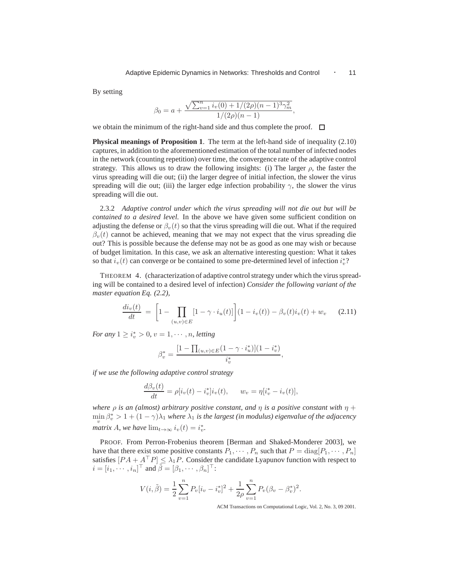By setting

$$
\beta_0 = a + \frac{\sqrt{\sum_{v=1}^n i_v(0) + 1/(2\rho)(n-1)^3 \gamma_m^2}}{1/(2\rho)(n-1)},
$$

we obtain the minimum of the right-hand side and thus complete the proof.  $\square$ 

**Physical meanings of Proposition 1**. The term at the left-hand side of inequality (2.10) captures, in addition to the aforementioned estimation of the total number of infected nodes in the network (counting repetition) over time, the convergence rate of the adaptive control strategy. This allows us to draw the following insights: (i) The larger  $\rho$ , the faster the virus spreading will die out; (ii) the larger degree of initial infection, the slower the virus spreading will die out; (iii) the larger edge infection probability  $\gamma$ , the slower the virus spreading will die out.

2.3.2 *Adaptive control under which the virus spreading will not die out but will be contained to a desired level.* In the above we have given some sufficient condition on adjusting the defense or  $\beta_v(t)$  so that the virus spreading will die out. What if the required  $\beta_v(t)$  cannot be achieved, meaning that we may not expect that the virus spreading die out? This is possible because the defense may not be as good as one may wish or because of budget limitation. In this case, we ask an alternative interesting question: What it takes so that  $i_v(t)$  can converge or be contained to some pre-determined level of infection  $i_v^*$ ?

THEOREM 4. (characterization of adaptive control strategy under which the virus spreading will be contained to a desired level of infection) *Consider the following variant of the master equation Eq. (2.2),*

$$
\frac{di_v(t)}{dt} = \left[1 - \prod_{(u,v)\in E} [1 - \gamma \cdot i_u(t)]\right] (1 - i_v(t)) - \beta_v(t)i_v(t) + w_v \quad (2.11)
$$

*For any*  $1 \geq i_v^* > 0$ ,  $v = 1, \dots, n$ , *letting* 

$$
\beta_v^* = \frac{[1 - \prod_{(u,v) \in E} (1 - \gamma \cdot i_u^*)](1 - i_v^*)}{i_v^*},
$$

*if we use the following adaptive control strategy*

$$
\frac{d\beta_v(t)}{dt} = \rho[i_v(t) - i_v^*]i_v(t), \quad w_v = \eta[i_v^* - i_v(t)],
$$

*where*  $\rho$  *is an (almost) arbitrary positive constant, and*  $\eta$  *is a positive constant with*  $\eta$  +  $\min_v \beta_v^* > 1 + (1 - \gamma)\lambda_1$  *where*  $\lambda_1$  *is the largest (in modulus) eigenvalue of the adjacency matrix A*, *we have*  $\lim_{t\to\infty} i_v(t) = i_v^*$ .

PROOF. From Perron-Frobenius theorem [Berman and Shaked-Monderer 2003], we have that there exist some positive constants  $P_1, \cdots, P_n$  such that  $P = \text{diag}[P_1, \cdots, P_n]$ satisfies  $[PA + A^{\top}P] \leq \lambda_1 P$ . Consider the candidate Lyapunov function with respect to  $i = [i_1, \dots, i_n]^\top$  and  $\tilde{\beta} = [\beta_1, \dots, \beta_n]^\top$ :

$$
V(i, \tilde{\beta}) = \frac{1}{2} \sum_{v=1}^{n} P_v[i_v - i_v^*]^2 + \frac{1}{2\rho} \sum_{v=1}^{n} P_v(\beta_v - \beta_v^*)^2.
$$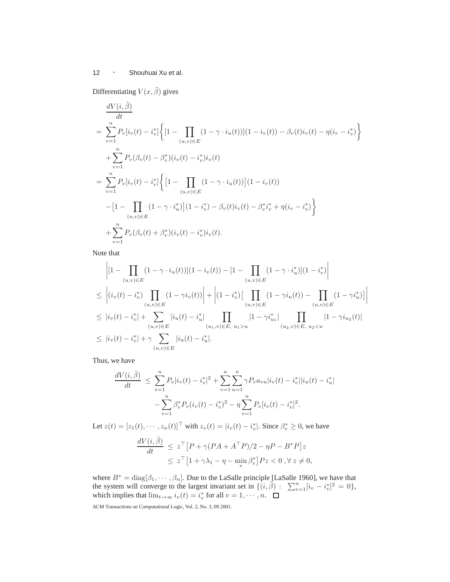Differentiating  $V(x, \tilde{\beta})$  gives

$$
\frac{dV(i,\tilde{\beta})}{dt} = \sum_{v=1}^{n} P_v[i_v(t) - i_v^*] \left\{ [1 - \prod_{(u,v)\in E} (1 - \gamma \cdot i_u(t))](1 - i_v(t)) - \beta_v(t)i_v(t) - \eta(i_v - i_v^*) \right\}
$$
\n
$$
+ \sum_{v=1}^{n} P_v(\beta_v(t) - \beta_v^*)(i_v(t) - i_v^*)i_v(t)
$$
\n
$$
= \sum_{v=1}^{n} P_v[i_v(t) - i_v^*] \left\{ [1 - \prod_{(u,v)\in E} (1 - \gamma \cdot i_u(t))] (1 - i_v(t)) - \beta_v(i_v(t)) \right\}
$$
\n
$$
- [1 - \prod_{(u,v)\in E} (1 - \gamma \cdot i_u^*)] (1 - i_v^*) - \beta_v(t)i_v(t) - \beta_v^*i_v^* + \eta(i_v - i_v^*) \right\}
$$
\n
$$
+ \sum_{v=1}^{n} P_v(\beta_v(t) + \beta_v^*)(i_v(t) - i_v^*)i_v(t).
$$

Note that

$$
\begin{split}\n&\left| [1 - \prod_{(u,v)\in E} (1 - \gamma \cdot i_u(t))] (1 - i_v(t)) - [1 - \prod_{(u,v)\in E} (1 - \gamma \cdot i_u^*)] (1 - i_v^*) \right| \\
&\leq \left| (i_v(t) - i_v^*) \prod_{(u,v)\in E} (1 - \gamma i_v(t)) \right| + \left| (1 - i_v^*) \right| \prod_{(u,v)\in E} (1 - \gamma i_u(t)) - \prod_{(u,v)\in E} (1 - \gamma i_u^*) \right| \\
&\leq |i_v(t) - i_v^*| + \sum_{(u,v)\in E} |i_u(t) - i_u^*| \prod_{(u_1,v)\in E, u_1 > u} |1 - \gamma i_{u_1}^*| \prod_{(u_2,v)\in E, u_2 < u} |1 - \gamma i_{u_2}(t)| \\
&\leq |i_v(t) - i_v^*| + \gamma \sum_{(u,v)\in E} |i_u(t) - i_u^*|. \n\end{split}
$$

Thus, we have

$$
\frac{dV(i,\tilde{\beta})}{dt} \leq \sum_{v=1}^{n} P_v |i_v(t) - i_v^*|^2 + \sum_{v=1}^{n} \sum_{u=1}^{n} \gamma P_v a_{vu} |i_v(t) - i_v^*| |i_u(t) - i_u^*|
$$

$$
- \sum_{v=1}^{n} \beta_v^* P_v (i_v(t) - i_v^*)^2 - \eta \sum_{v=1}^{n} P_v [i_v(t) - i_v^*]^2.
$$

Let  $z(t) = [z_1(t), \dots, z_n(t)]^\top$  with  $z_v(t) = |i_v(t) - i_v^*|$ . Since  $\beta_v^* \ge 0$ , we have

$$
\frac{dV(i,\tilde{\beta})}{dt} \leq z^{\top} [P + \gamma (PA + A^{\top}P)/2 - \eta P - B^*P] z
$$
  

$$
\leq z^{\top} [1 + \gamma \lambda_1 - \eta - \min_{v} \beta_v^*] P z < 0, \forall z \neq 0,
$$

where  $B^* = \text{diag}[\beta_1, \dots, \beta_n]$ . Due to the LaSalle principle [LaSalle 1960], we have that the system will converge to the largest invariant set in  $\{(\tilde{i}, \tilde{\beta}) : \sum_{v=1}^{n} [i_v - i_v^*]^2 = 0\}$ , which implies that  $\lim_{t\to\infty} i_v(t) = i_v^*$  for all  $v = 1, \dots, n$ .

ACM Transactions on Computational Logic, Vol. 2, No. 3, 09 2001.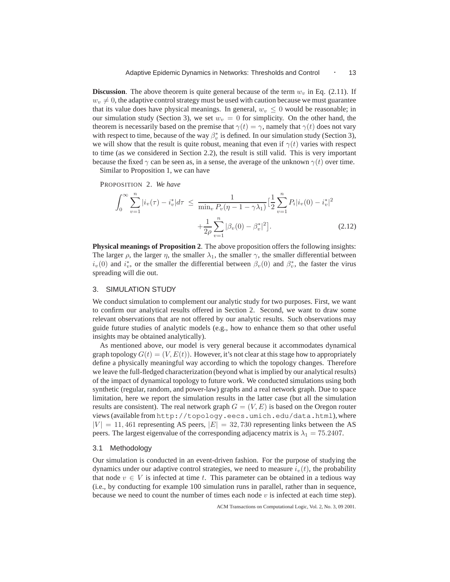**Discussion**. The above theorem is quite general because of the term  $w<sub>v</sub>$  in Eq. (2.11). If  $w_v \neq 0$ , the adaptive control strategy must be used with caution because we must guarantee that its value does have physical meanings. In general,  $w_v \leq 0$  would be reasonable; in our simulation study (Section 3), we set  $w_v = 0$  for simplicity. On the other hand, the theorem is necessarily based on the premise that  $\gamma(t) = \gamma$ , namely that  $\gamma(t)$  does not vary with respect to time, because of the way  $\beta_v^*$  is defined. In our simulation study (Section 3), we will show that the result is quite robust, meaning that even if  $\gamma(t)$  varies with respect to time (as we considered in Section 2.2), the result is still valid. This is very important because the fixed  $\gamma$  can be seen as, in a sense, the average of the unknown  $\gamma(t)$  over time.

Similar to Proposition 1, we can have

PROPOSITION 2. *We have*

$$
\int_0^\infty \sum_{v=1}^n |i_v(\tau) - i_v^*| d\tau \le \frac{1}{\min_v P_v(\eta - 1 - \gamma \lambda_1)} \Big[\frac{1}{2} \sum_{v=1}^n P_i |i_v(0) - i_v^*|^2 + \frac{1}{2\rho} \sum_{v=1}^n |\beta_v(0) - \beta_v^*|^2\Big].
$$
\n(2.12)

**Physical meanings of Proposition 2**. The above proposition offers the following insights: The larger  $\rho$ , the larger  $\eta$ , the smaller  $\lambda_1$ , the smaller  $\gamma$ , the smaller differential between  $i_v(0)$  and  $i_v^*$ , or the smaller the differential between  $\beta_v(0)$  and  $\beta_v^*$ , the faster the virus spreading will die out.

## 3. SIMULATION STUDY

We conduct simulation to complement our analytic study for two purposes. First, we want to confirm our analytical results offered in Section 2. Second, we want to draw some relevant observations that are not offered by our analytic results. Such observations may guide future studies of analytic models (e.g., how to enhance them so that other useful insights may be obtained analytically).

As mentioned above, our model is very general because it accommodates dynamical graph topology  $G(t) = (V, E(t))$ . However, it's not clear at this stage how to appropriately define a physically meaningful way according to which the topology changes. Therefore we leave the full-fledged characterization (beyond what is implied by our analytical results) of the impact of dynamical topology to future work. We conducted simulations using both synthetic (regular, random, and power-law) graphs and a real network graph. Due to space limitation, here we report the simulation results in the latter case (but all the simulation results are consistent). The real network graph  $G = (V, E)$  is based on the Oregon router views (available from http://topology.eecs.umich.edu/data.html), where  $|V| = 11,461$  representing AS peers,  $|E| = 32,730$  representing links between the AS peers. The largest eigenvalue of the corresponding adjacency matrix is  $\lambda_1 = 75.2407$ .

## 3.1 Methodology

Our simulation is conducted in an event-driven fashion. For the purpose of studying the dynamics under our adaptive control strategies, we need to measure  $i_v(t)$ , the probability that node  $v \in V$  is infected at time t. This parameter can be obtained in a tedious way (i.e., by conducting for example 100 simulation runs in parallel, rather than in sequence, because we need to count the number of times each node  $v$  is infected at each time step).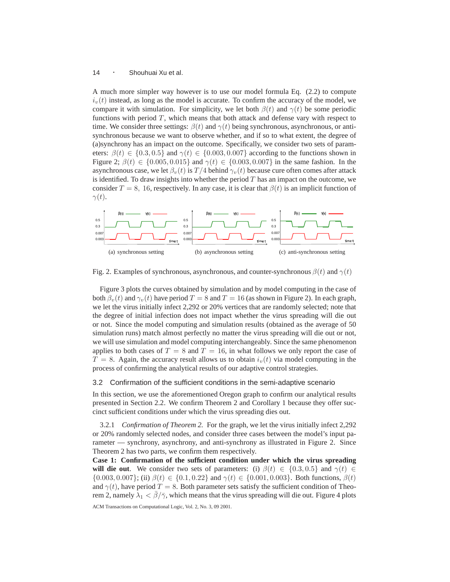A much more simpler way however is to use our model formula Eq. (2.2) to compute  $i<sub>v</sub>(t)$  instead, as long as the model is accurate. To confirm the accuracy of the model, we compare it with simulation. For simplicity, we let both  $\beta(t)$  and  $\gamma(t)$  be some periodic functions with period  $T$ , which means that both attack and defense vary with respect to time. We consider three settings:  $\beta(t)$  and  $\gamma(t)$  being synchronous, asynchronous, or antisynchronous because we want to observe whether, and if so to what extent, the degree of (a)synchrony has an impact on the outcome. Specifically, we consider two sets of parameters:  $\beta(t) \in \{0.3, 0.5\}$  and  $\gamma(t) \in \{0.003, 0.007\}$  according to the functions shown in Figure 2;  $\beta(t) \in \{0.005, 0.015\}$  and  $\gamma(t) \in \{0.003, 0.007\}$  in the same fashion. In the asynchronous case, we let  $\beta_n(t)$  is  $T/4$  behind  $\gamma_n(t)$  because cure often comes after attack is identified. To draw insights into whether the period  $T$  has an impact on the outcome, we consider  $T = 8$ , 16, respectively. In any case, it is clear that  $\beta(t)$  is an implicit function of  $\gamma(t)$ .



Fig. 2. Examples of synchronous, asynchronous, and counter-synchronous  $\beta(t)$  and  $\gamma(t)$ 

Figure 3 plots the curves obtained by simulation and by model computing in the case of both  $\beta_v(t)$  and  $\gamma_v(t)$  have period  $T = 8$  and  $T = 16$  (as shown in Figure 2). In each graph, we let the virus initially infect 2,292 or 20% vertices that are randomly selected; note that the degree of initial infection does not impact whether the virus spreading will die out or not. Since the model computing and simulation results (obtained as the average of 50 simulation runs) match almost perfectly no matter the virus spreading will die out or not, we will use simulation and model computing interchangeably. Since the same phenomenon applies to both cases of  $T = 8$  and  $T = 16$ , in what follows we only report the case of  $T = 8$ . Again, the accuracy result allows us to obtain  $i<sub>v</sub>(t)$  via model computing in the process of confirming the analytical results of our adaptive control strategies.

## 3.2 Confirmation of the sufficient conditions in the semi-adaptive scenario

In this section, we use the aforementioned Oregon graph to confirm our analytical results presented in Section 2.2. We confirm Theorem 2 and Corollary 1 because they offer succinct sufficient conditions under which the virus spreading dies out.

3.2.1 *Confirmation of Theorem 2.* For the graph, we let the virus initially infect 2,292 or 20% randomly selected nodes, and consider three cases between the model's input parameter — synchrony, asynchrony, and anti-synchrony as illustrated in Figure 2. Since Theorem 2 has two parts, we confirm them respectively.

**Case 1: Confirmation of the sufficient condition under which the virus spreading will die out**. We consider two sets of parameters: (i)  $\beta(t) \in \{0.3, 0.5\}$  and  $\gamma(t) \in$  $\{0.003, 0.007\}$ ; (ii)  $\beta(t) \in \{0.1, 0.22\}$  and  $\gamma(t) \in \{0.001, 0.003\}$ . Both functions,  $\beta(t)$ and  $\gamma(t)$ , have period  $T = 8$ . Both parameter sets satisfy the sufficient condition of Theorem 2, namely  $\lambda_1 < \beta/\overline{\gamma}$ , which means that the virus spreading will die out. Figure 4 plots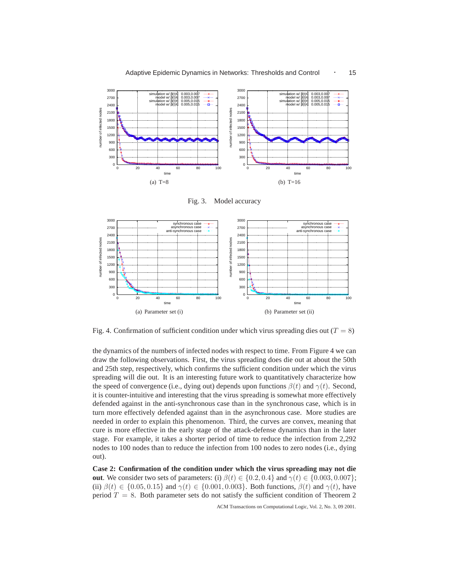

Fig. 3. Model accuracy



Fig. 4. Confirmation of sufficient condition under which virus spreading dies out ( $T = 8$ )

the dynamics of the numbers of infected nodes with respect to time. From Figure 4 we can draw the following observations. First, the virus spreading does die out at about the 50th and 25th step, respectively, which confirms the sufficient condition under which the virus spreading will die out. It is an interesting future work to quantitatively characterize how the speed of convergence (i.e., dying out) depends upon functions  $\beta(t)$  and  $\gamma(t)$ . Second, it is counter-intuitive and interesting that the virus spreading is somewhat more effectively defended against in the anti-synchronous case than in the synchronous case, which is in turn more effectively defended against than in the asynchronous case. More studies are needed in order to explain this phenomenon. Third, the curves are convex, meaning that cure is more effective in the early stage of the attack-defense dynamics than in the later stage. For example, it takes a shorter period of time to reduce the infection from 2,292 nodes to 100 nodes than to reduce the infection from 100 nodes to zero nodes (i.e., dying out).

**Case 2: Confirmation of the condition under which the virus spreading may not die out**. We consider two sets of parameters: (i)  $\beta(t) \in \{0.2, 0.4\}$  and  $\gamma(t) \in \{0.003, 0.007\}$ ; (ii)  $\beta(t) \in \{0.05, 0.15\}$  and  $\gamma(t) \in \{0.001, 0.003\}$ . Both functions,  $\beta(t)$  and  $\gamma(t)$ , have period  $T = 8$ . Both parameter sets do not satisfy the sufficient condition of Theorem 2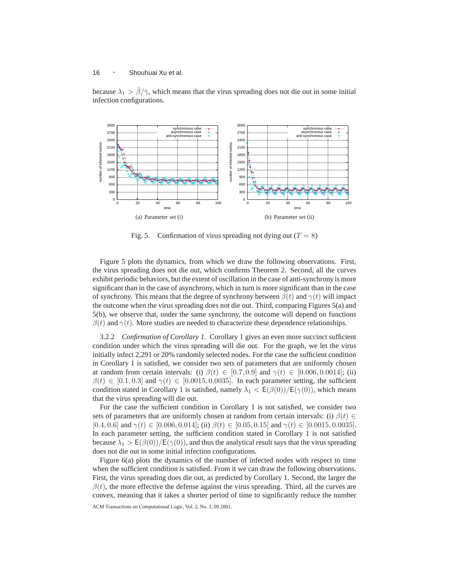

because  $\lambda_1 > \bar{\beta}/\bar{\gamma}$ , which means that the virus spreading does not die out in some initial infection configurations.

Fig. 5. Confirmation of virus spreading not dying out ( $T = 8$ )

Figure 5 plots the dynamics, from which we draw the following observations. First, the virus spreading does not die out, which confirms Theorem 2. Second, all the curves exhibit periodic behaviors, but the extent of oscillation in the case of anti-synchrony is more significant than in the case of asynchrony, which in turn is more significant than in the case of synchrony. This means that the degree of synchrony between  $\beta(t)$  and  $\gamma(t)$  will impact the outcome when the virus spreading does not die out. Third, comparing Figures 5(a) and 5(b), we observe that, under the same synchrony, the outcome will depend on functions  $\beta(t)$  and  $\gamma(t)$ . More studies are needed to characterize these dependence relationships.

3.2.2 *Confirmation of Corollary 1.* Corollary 1 gives an even more succinct sufficient condition under which the virus spreading will die out. For the graph, we let the virus initially infect 2,291 or 20% randomly selected nodes. For the case the sufficient condition in Corollary 1 is satisfied, we consider two sets of parameters that are uniformly chosen at random from certain intervals: (i)  $\beta(t) \in [0.7, 0.9]$  and  $\gamma(t) \in [0.006, 0.0014]$ ; (ii)  $\beta(t) \in [0.1, 0.3]$  and  $\gamma(t) \in [0.0015, 0.0035]$ . In each parameter setting, the sufficient condition stated in Corollary 1 is satisfied, namely  $\lambda_1 < E(\beta(0))/E(\gamma(0))$ , which means that the virus spreading will die out.

For the case the sufficient condition in Corollary 1 is not satisfied, we consider two sets of parameters that are uniformly chosen at random from certain intervals: (i)  $\beta(t) \in$  $[0.4, 0.6]$  and  $\gamma(t) \in [0.006, 0.014]$ ; (ii)  $\beta(t) \in [0.05, 0.15]$  and  $\gamma(t) \in [0.0015, 0.0035]$ . In each parameter setting, the sufficient condition stated in Corollary 1 is not satisfied because  $\lambda_1 > E(\beta(0))/E(\gamma(0))$ , and thus the analytical result says that the virus spreading does not die out in some initial infection configurations.

Figure 6(a) plots the dynamics of the number of infected nodes with respect to time when the sufficient condition is satisfied. From it we can draw the following observations. First, the virus spreading does die out, as predicted by Corollary 1. Second, the larger the  $\beta(t)$ , the more effective the defense against the virus spreading. Third, all the curves are convex, meaning that it takes a shorter period of time to significantly reduce the number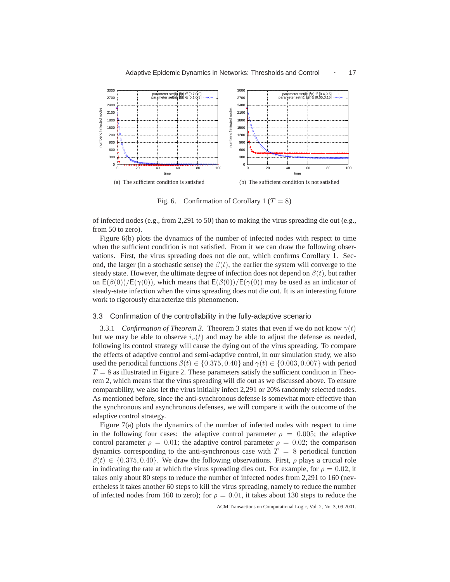

Fig. 6. Confirmation of Corollary 1 ( $T = 8$ )

of infected nodes (e.g., from 2,291 to 50) than to making the virus spreading die out (e.g., from 50 to zero).

Figure 6(b) plots the dynamics of the number of infected nodes with respect to time when the sufficient condition is not satisfied. From it we can draw the following observations. First, the virus spreading does not die out, which confirms Corollary 1. Second, the larger (in a stochastic sense) the  $\beta(t)$ , the earlier the system will converge to the steady state. However, the ultimate degree of infection does not depend on  $\beta(t)$ , but rather on  $E(\beta(0))/E(\gamma(0))$ , which means that  $E(\beta(0))/E(\gamma(0))$  may be used as an indicator of steady-state infection when the virus spreading does not die out. It is an interesting future work to rigorously characterize this phenomenon.

### 3.3 Confirmation of the controllability in the fully-adaptive scenario

3.3.1 *Confirmation of Theorem 3.* Theorem 3 states that even if we do not know  $\gamma(t)$ but we may be able to observe  $i_v(t)$  and may be able to adjust the defense as needed, following its control strategy will cause the dying out of the virus spreading. To compare the effects of adaptive control and semi-adaptive control, in our simulation study, we also used the periodical functions  $\beta(t) \in \{0.375, 0.40\}$  and  $\gamma(t) \in \{0.003, 0.007\}$  with period  $T = 8$  as illustrated in Figure 2. These parameters satisfy the sufficient condition in Theorem 2, which means that the virus spreading will die out as we discussed above. To ensure comparability, we also let the virus initially infect 2,291 or 20% randomly selected nodes. As mentioned before, since the anti-synchronous defense is somewhat more effective than the synchronous and asynchronous defenses, we will compare it with the outcome of the adaptive control strategy.

Figure 7(a) plots the dynamics of the number of infected nodes with respect to time in the following four cases: the adaptive control parameter  $\rho = 0.005$ ; the adaptive control parameter  $\rho = 0.01$ ; the adaptive control parameter  $\rho = 0.02$ ; the comparison dynamics corresponding to the anti-synchronous case with  $T = 8$  periodical function  $\beta(t) \in \{0.375, 0.40\}$ . We draw the following observations. First,  $\rho$  plays a crucial role in indicating the rate at which the virus spreading dies out. For example, for  $\rho = 0.02$ , it takes only about 80 steps to reduce the number of infected nodes from 2,291 to 160 (nevertheless it takes another 60 steps to kill the virus spreading, namely to reduce the number of infected nodes from 160 to zero); for  $\rho = 0.01$ , it takes about 130 steps to reduce the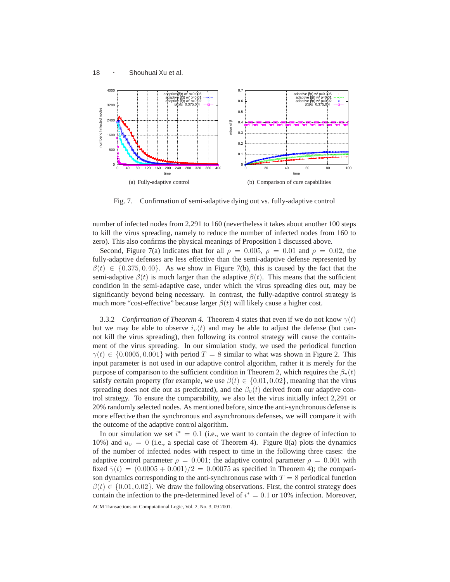

Fig. 7. Confirmation of semi-adaptive dying out vs. fully-adaptive control

number of infected nodes from 2,291 to 160 (nevertheless it takes about another 100 steps to kill the virus spreading, namely to reduce the number of infected nodes from 160 to zero). This also confirms the physical meanings of Proposition 1 discussed above.

Second, Figure 7(a) indicates that for all  $\rho = 0.005$ ,  $\rho = 0.01$  and  $\rho = 0.02$ , the fully-adaptive defenses are less effective than the semi-adaptive defense represented by  $\beta(t) \in \{0.375, 0.40\}$ . As we show in Figure 7(b), this is caused by the fact that the semi-adaptive  $\beta(t)$  is much larger than the adaptive  $\beta(t)$ . This means that the sufficient condition in the semi-adaptive case, under which the virus spreading dies out, may be significantly beyond being necessary. In contrast, the fully-adaptive control strategy is much more "cost-effective" because larger  $\beta(t)$  will likely cause a higher cost.

3.3.2 *Confirmation of Theorem 4.* Theorem 4 states that even if we do not know  $\gamma(t)$ but we may be able to observe  $i_v(t)$  and may be able to adjust the defense (but cannot kill the virus spreading), then following its control strategy will cause the containment of the virus spreading. In our simulation study, we used the periodical function  $\gamma(t) \in \{0.0005, 0.001\}$  with period  $T = 8$  similar to what was shown in Figure 2. This input parameter is not used in our adaptive control algorithm, rather it is merely for the purpose of comparison to the sufficient condition in Theorem 2, which requires the  $\beta_v(t)$ satisfy certain property (for example, we use  $\beta(t) \in \{0.01, 0.02\}$ , meaning that the virus spreading does not die out as predicated), and the  $\beta_v(t)$  derived from our adaptive control strategy. To ensure the comparability, we also let the virus initially infect 2,291 or 20% randomly selected nodes. As mentioned before, since the anti-synchronous defense is more effective than the synchronous and asynchronous defenses, we will compare it with the outcome of the adaptive control algorithm.

In our simulation we set  $i^* = 0.1$  (i.e., we want to contain the degree of infection to 10%) and  $u_y = 0$  (i.e., a special case of Theorem 4). Figure 8(a) plots the dynamics of the number of infected nodes with respect to time in the following three cases: the adaptive control parameter  $\rho = 0.001$ ; the adaptive control parameter  $\rho = 0.001$  with fixed  $\bar{\gamma}(t) = (0.0005 + 0.001)/2 = 0.00075$  as specified in Theorem 4); the comparison dynamics corresponding to the anti-synchronous case with  $T = 8$  periodical function  $\beta(t) \in \{0.01, 0.02\}$ . We draw the following observations. First, the control strategy does contain the infection to the pre-determined level of  $i^* = 0.1$  or 10% infection. Moreover,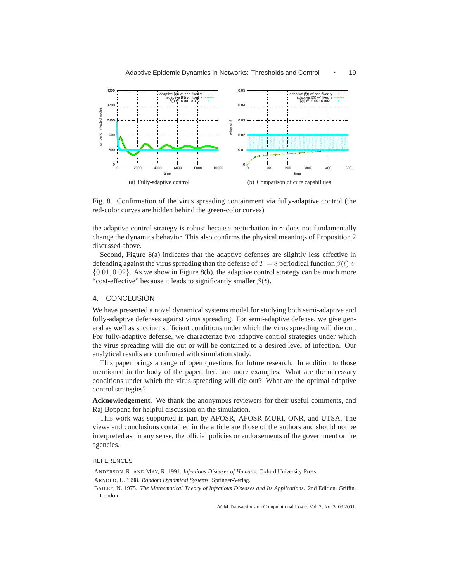

Fig. 8. Confirmation of the virus spreading containment via fully-adaptive control (the red-color curves are hidden behind the green-color curves)

the adaptive control strategy is robust because perturbation in  $\gamma$  does not fundamentally change the dynamics behavior. This also confirms the physical meanings of Proposition 2 discussed above.

Second, Figure 8(a) indicates that the adaptive defenses are slightly less effective in defending against the virus spreading than the defense of  $T = 8$  periodical function  $\beta(t) \in$  $\{0.01, 0.02\}$ . As we show in Figure 8(b), the adaptive control strategy can be much more "cost-effective" because it leads to significantly smaller  $\beta(t)$ .

## 4. CONCLUSION

We have presented a novel dynamical systems model for studying both semi-adaptive and fully-adaptive defenses against virus spreading. For semi-adaptive defense, we give general as well as succinct sufficient conditions under which the virus spreading will die out. For fully-adaptive defense, we characterize two adaptive control strategies under which the virus spreading will die out or will be contained to a desired level of infection. Our analytical results are confirmed with simulation study.

This paper brings a range of open questions for future research. In addition to those mentioned in the body of the paper, here are more examples: What are the necessary conditions under which the virus spreading will die out? What are the optimal adaptive control strategies?

**Acknowledgement**. We thank the anonymous reviewers for their useful comments, and Raj Boppana for helpful discussion on the simulation.

This work was supported in part by AFOSR, AFOSR MURI, ONR, and UTSA. The views and conclusions contained in the article are those of the authors and should not be interpreted as, in any sense, the official policies or endorsements of the government or the agencies.

## REFERENCES

ANDERSON, R. AND MAY, R. 1991. *Infectious Diseases of Humans*. Oxford University Press. ARNOLD, L. 1998. *Random Dynamical Systems*. Springer-Verlag.

BAILEY, N. 1975. *The Mathematical Theory of Infectious Diseases and Its Applications*. 2nd Edition. Griffin, London.